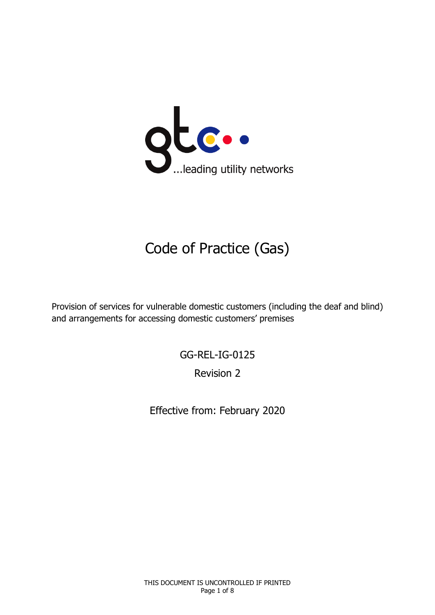

# Code of Practice (Gas)

Provision of services for vulnerable domestic customers (including the deaf and blind) and arrangements for accessing domestic customers' premises

GG-REL-IG-0125

Revision 2

Effective from: February 2020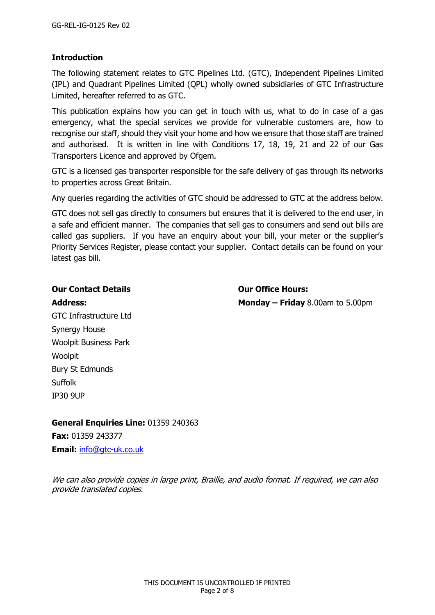## **Introduction**

The following statement relates to GTC Pipelines Ltd. (GTC), Independent Pipelines Limited (IPL) and Quadrant Pipelines Limited (QPL) wholly owned subsidiaries of GTC Infrastructure Limited, hereafter referred to as GTC.

This publication explains how you can get in touch with us, what to do in case of a gas emergency, what the special services we provide for vulnerable customers are, how to recognise our staff, should they visit your home and how we ensure that those staff are trained and authorised. It is written in line with Conditions 17, 18, 19, 21 and 22 of our Gas Transporters Licence and approved by Ofgem.

GTC is a licensed gas transporter responsible for the safe delivery of gas through its networks to properties across Great Britain.

Any queries regarding the activities of GTC should be addressed to GTC at the address below.

GTC does not sell gas directly to consumers but ensures that it is delivered to the end user, in a safe and efficient manner. The companies that sell gas to consumers and send out bills are called gas suppliers. If you have an enquiry about your bill, your meter or the supplier's Priority Services Register, please contact your supplier. Contact details can be found on your latest gas bill.

#### **Our Contact Details Our Office Hours:**

**Address: Monday – Friday** 8.00am to 5.00pm

GTC Infrastructure Ltd Synergy House Woolpit Business Park Woolpit Bury St Edmunds Suffolk IP30 9UP

**General Enquiries Line:** 01359 240363

**Fax:** 01359 243377 **Email:** [info@gtc-uk.co.uk](mailto:info@gtc-uk.co.uk)

We can also provide copies in large print, Braille, and audio format. If required, we can also provide translated copies.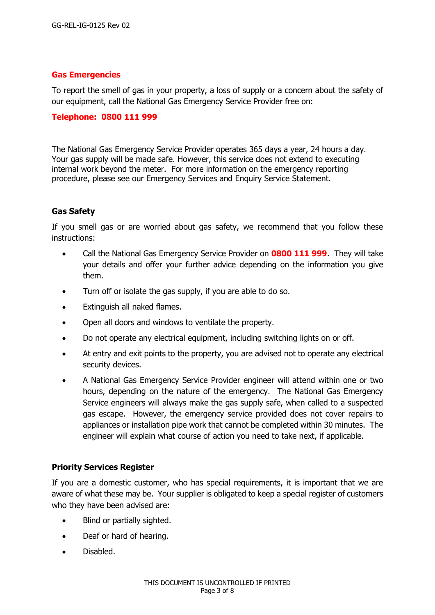#### **Gas Emergencies**

To report the smell of gas in your property, a loss of supply or a concern about the safety of our equipment, call the National Gas Emergency Service Provider free on:

#### **Telephone: 0800 111 999**

The National Gas Emergency Service Provider operates 365 days a year, 24 hours a day. Your gas supply will be made safe. However, this service does not extend to executing internal work beyond the meter. For more information on the emergency reporting procedure, please see our Emergency Services and Enquiry Service Statement.

#### **Gas Safety**

If you smell gas or are worried about gas safety, we recommend that you follow these instructions:

- Call the National Gas Emergency Service Provider on **0800 111 999**. They will take your details and offer your further advice depending on the information you give them.
- Turn off or isolate the gas supply, if you are able to do so.
- Extinguish all naked flames.
- Open all doors and windows to ventilate the property.
- Do not operate any electrical equipment, including switching lights on or off.
- At entry and exit points to the property, you are advised not to operate any electrical security devices.
- A National Gas Emergency Service Provider engineer will attend within one or two hours, depending on the nature of the emergency. The National Gas Emergency Service engineers will always make the gas supply safe, when called to a suspected gas escape. However, the emergency service provided does not cover repairs to appliances or installation pipe work that cannot be completed within 30 minutes. The engineer will explain what course of action you need to take next, if applicable.

#### **Priority Services Register**

If you are a domestic customer, who has special requirements, it is important that we are aware of what these may be. Your supplier is obligated to keep a special register of customers who they have been advised are:

- Blind or partially sighted.
- Deaf or hard of hearing.
- Disabled.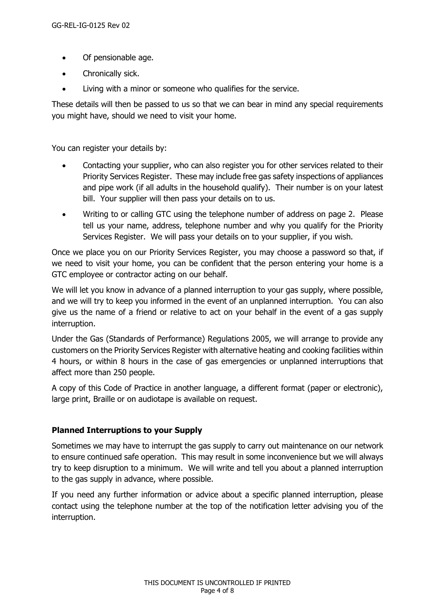- Of pensionable age.
- Chronically sick.
- Living with a minor or someone who qualifies for the service.

These details will then be passed to us so that we can bear in mind any special requirements you might have, should we need to visit your home.

You can register your details by:

- Contacting your supplier, who can also register you for other services related to their Priority Services Register. These may include free gas safety inspections of appliances and pipe work (if all adults in the household qualify). Their number is on your latest bill. Your supplier will then pass your details on to us.
- Writing to or calling GTC using the telephone number of address on page 2. Please tell us your name, address, telephone number and why you qualify for the Priority Services Register. We will pass your details on to your supplier, if you wish.

Once we place you on our Priority Services Register, you may choose a password so that, if we need to visit your home, you can be confident that the person entering your home is a GTC employee or contractor acting on our behalf.

We will let you know in advance of a planned interruption to your gas supply, where possible, and we will try to keep you informed in the event of an unplanned interruption. You can also give us the name of a friend or relative to act on your behalf in the event of a gas supply interruption.

Under the Gas (Standards of Performance) Regulations 2005, we will arrange to provide any customers on the Priority Services Register with alternative heating and cooking facilities within 4 hours, or within 8 hours in the case of gas emergencies or unplanned interruptions that affect more than 250 people.

A copy of this Code of Practice in another language, a different format (paper or electronic), large print, Braille or on audiotape is available on request.

#### **Planned Interruptions to your Supply**

Sometimes we may have to interrupt the gas supply to carry out maintenance on our network to ensure continued safe operation. This may result in some inconvenience but we will always try to keep disruption to a minimum. We will write and tell you about a planned interruption to the gas supply in advance, where possible.

If you need any further information or advice about a specific planned interruption, please contact using the telephone number at the top of the notification letter advising you of the interruption.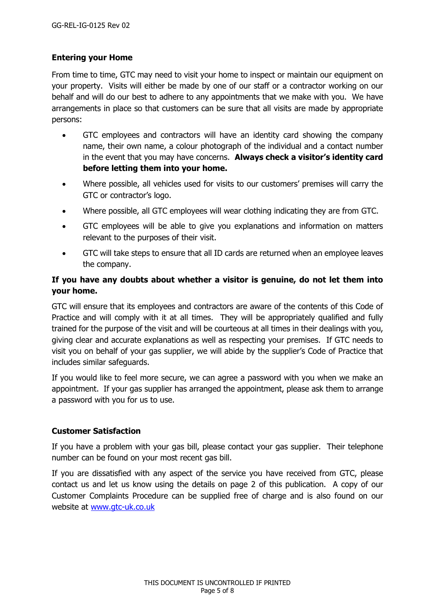## **Entering your Home**

From time to time, GTC may need to visit your home to inspect or maintain our equipment on your property. Visits will either be made by one of our staff or a contractor working on our behalf and will do our best to adhere to any appointments that we make with you. We have arrangements in place so that customers can be sure that all visits are made by appropriate persons:

- GTC employees and contractors will have an identity card showing the company name, their own name, a colour photograph of the individual and a contact number in the event that you may have concerns. **Always check a visitor's identity card before letting them into your home.**
- Where possible, all vehicles used for visits to our customers' premises will carry the GTC or contractor's logo.
- Where possible, all GTC employees will wear clothing indicating they are from GTC.
- GTC employees will be able to give you explanations and information on matters relevant to the purposes of their visit.
- GTC will take steps to ensure that all ID cards are returned when an employee leaves the company.

## **If you have any doubts about whether a visitor is genuine, do not let them into your home.**

GTC will ensure that its employees and contractors are aware of the contents of this Code of Practice and will comply with it at all times. They will be appropriately qualified and fully trained for the purpose of the visit and will be courteous at all times in their dealings with you, giving clear and accurate explanations as well as respecting your premises. If GTC needs to visit you on behalf of your gas supplier, we will abide by the supplier's Code of Practice that includes similar safeguards.

If you would like to feel more secure, we can agree a password with you when we make an appointment. If your gas supplier has arranged the appointment, please ask them to arrange a password with you for us to use.

#### **Customer Satisfaction**

If you have a problem with your gas bill, please contact your gas supplier. Their telephone number can be found on your most recent gas bill.

If you are dissatisfied with any aspect of the service you have received from GTC, please contact us and let us know using the details on page 2 of this publication. A copy of our Customer Complaints Procedure can be supplied free of charge and is also found on our website at [www.gtc-uk.co.uk](http://www.gtc-uk.co.uk/)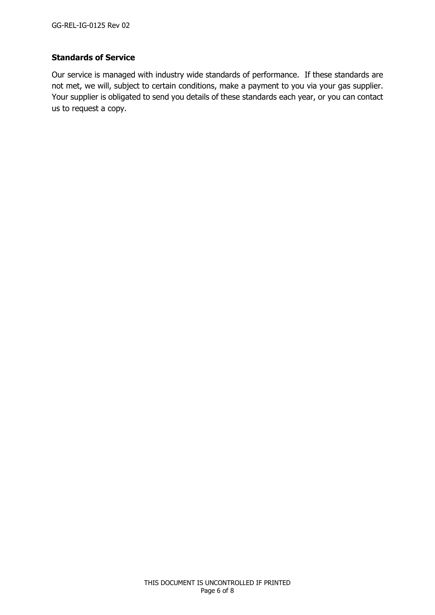## **Standards of Service**

Our service is managed with industry wide standards of performance. If these standards are not met, we will, subject to certain conditions, make a payment to you via your gas supplier. Your supplier is obligated to send you details of these standards each year, or you can contact us to request a copy.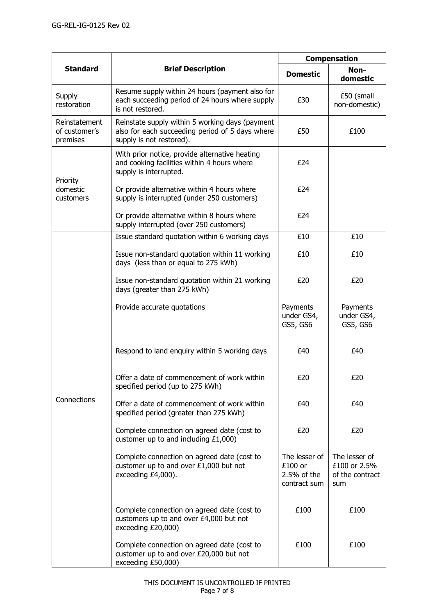| <b>Standard</b>                            | <b>Brief Description</b>                                                                                                       | <b>Compensation</b>                                     |                                                         |
|--------------------------------------------|--------------------------------------------------------------------------------------------------------------------------------|---------------------------------------------------------|---------------------------------------------------------|
|                                            |                                                                                                                                | <b>Domestic</b>                                         | Non-<br>domestic                                        |
| Supply<br>restoration                      | Resume supply within 24 hours (payment also for<br>each succeeding period of 24 hours where supply<br>is not restored.         | £30                                                     | £50 (small<br>non-domestic)                             |
| Reinstatement<br>of customer's<br>premises | Reinstate supply within 5 working days (payment<br>also for each succeeding period of 5 days where<br>supply is not restored). | £50                                                     | £100                                                    |
| Priority<br>domestic<br>customers          | With prior notice, provide alternative heating<br>and cooking facilities within 4 hours where<br>supply is interrupted.        | £24                                                     |                                                         |
|                                            | Or provide alternative within 4 hours where<br>supply is interrupted (under 250 customers)                                     | £24                                                     |                                                         |
|                                            | Or provide alternative within 8 hours where<br>supply interrupted (over 250 customers)                                         | £24                                                     |                                                         |
|                                            | Issue standard quotation within 6 working days                                                                                 | £10                                                     | £10                                                     |
| Connections                                | Issue non-standard quotation within 11 working<br>days (less than or equal to 275 kWh)                                         | £10                                                     | £10                                                     |
|                                            | Issue non-standard quotation within 21 working<br>days (greater than 275 kWh)                                                  | £20                                                     | £20                                                     |
|                                            | Provide accurate quotations                                                                                                    | Payments<br>under GS4,<br>GS5, GS6                      | Payments<br>under GS4,<br>GS5, GS6                      |
|                                            | Respond to land enquiry within 5 working days                                                                                  | £40                                                     | £40                                                     |
|                                            | Offer a date of commencement of work within<br>specified period (up to 275 kWh)                                                | £20                                                     | £20                                                     |
|                                            | Offer a date of commencement of work within<br>specified period (greater than 275 kWh)                                         | £40                                                     | £40                                                     |
|                                            | Complete connection on agreed date (cost to<br>customer up to and including $£1,000)$                                          | £20                                                     | £20                                                     |
|                                            | Complete connection on agreed date (cost to<br>customer up to and over £1,000 but not<br>exceeding £4,000).                    | The lesser of<br>£100 or<br>2.5% of the<br>contract sum | The lesser of<br>£100 or 2.5%<br>of the contract<br>sum |
|                                            | Complete connection on agreed date (cost to<br>customers up to and over £4,000 but not<br>exceeding £20,000)                   | £100                                                    | £100                                                    |
|                                            | Complete connection on agreed date (cost to<br>customer up to and over £20,000 but not<br>exceeding £50,000)                   | £100                                                    | £100                                                    |